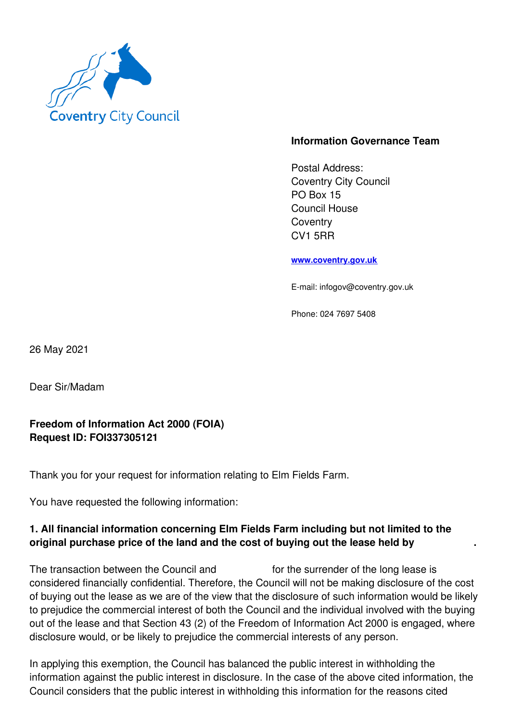

## **Information Governance Team**

Postal Address: Coventry City Council PO Box 15 Council House **Coventry** CV1 5RR

**www.coventry.gov.uk**

E-mail: infogov@coventry.gov.uk

Phone: 024 7697 5408

26 May 2021

Dear Sir/Madam

## **Freedom of Information Act 2000 (FOIA) Request ID: FOI337305121**

Thank you for your request for information relating to Elm Fields Farm.

You have requested the following information:

## **1. All financial information concerning Elm Fields Farm including but not limited to the original purchase price of the land and the cost of buying out the lease held by .**

The transaction between the Council and for the surrender of the long lease is considered financially confidential. Therefore, the Council will not be making disclosure of the cost of buying out the lease as we are of the view that the disclosure of such information would be likely to prejudice the commercial interest of both the Council and the individual involved with the buying out of the lease and that Section 43 (2) of the Freedom of Information Act 2000 is engaged, where disclosure would, or be likely to prejudice the commercial interests of any person.

In applying this exemption, the Council has balanced the public interest in withholding the information against the public interest in disclosure. In the case of the above cited information, the Council considers that the public interest in withholding this information for the reasons cited